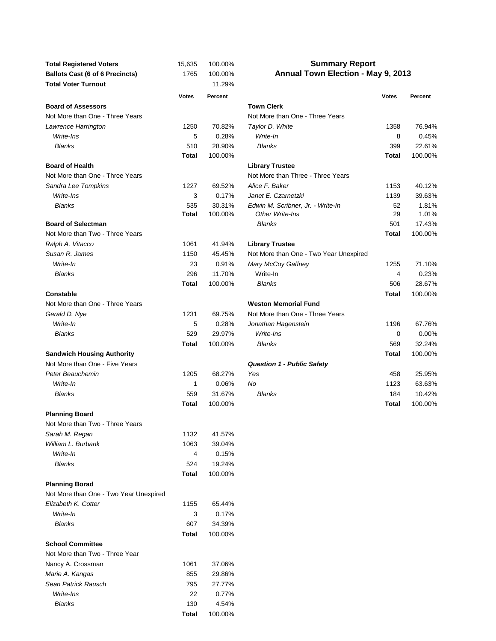| <b>Total Registered Voters</b>         | 15,635              | 100.00%          | <b>Summary Report</b>                  |              |         |  |  |
|----------------------------------------|---------------------|------------------|----------------------------------------|--------------|---------|--|--|
| <b>Ballots Cast (6 of 6 Precincts)</b> | 1765                | 100.00%          | Annual Town Election - May 9, 2013     |              |         |  |  |
| <b>Total Voter Turnout</b>             |                     | 11.29%           |                                        |              |         |  |  |
|                                        | <b>Votes</b>        | Percent          |                                        | <b>Votes</b> | Percent |  |  |
| <b>Board of Assessors</b>              |                     |                  | <b>Town Clerk</b>                      |              |         |  |  |
| Not More than One - Three Years        |                     |                  | Not More than One - Three Years        |              |         |  |  |
| Lawrence Harrington                    | 1250                | 70.82%           | Taylor D. White                        | 1358         | 76.94%  |  |  |
| Write-Ins                              | 5                   | 0.28%            | Write-In                               | 8            | 0.45%   |  |  |
| <b>Blanks</b>                          | 510                 | 28.90%           | <b>Blanks</b>                          | 399          | 22.61%  |  |  |
|                                        | Total               | 100.00%          |                                        | <b>Total</b> | 100.00% |  |  |
| <b>Board of Health</b>                 |                     |                  | <b>Library Trustee</b>                 |              |         |  |  |
| Not More than One - Three Years        |                     |                  | Not More than Three - Three Years      |              |         |  |  |
| Sandra Lee Tompkins                    | 1227                | 69.52%           | Alice F. Baker                         | 1153         | 40.12%  |  |  |
| Write-Ins                              | 3                   | 0.17%            | Janet E. Czarnetzki                    | 1139         | 39.63%  |  |  |
| Blanks                                 | 535                 | 30.31%           | Edwin M. Scribner, Jr. - Write-In      | 52           | 1.81%   |  |  |
|                                        | Total               | 100.00%          | Other Write-Ins                        | 29           | 1.01%   |  |  |
| <b>Board of Selectman</b>              |                     |                  | <b>Blanks</b>                          | 501          | 17.43%  |  |  |
| Not More than Two - Three Years        |                     |                  |                                        | <b>Total</b> | 100.00% |  |  |
| Ralph A. Vitacco                       | 1061                | 41.94%           | <b>Library Trustee</b>                 |              |         |  |  |
| Susan R. James                         | 1150                | 45.45%           | Not More than One - Two Year Unexpired |              |         |  |  |
| Write-In                               | 23                  | 0.91%            | Mary McCoy Gaffney                     | 1255         | 71.10%  |  |  |
| Blanks                                 | 296                 | 11.70%           | Write-In                               | 4            | 0.23%   |  |  |
|                                        | Total               | 100.00%          | <b>Blanks</b>                          | 506          | 28.67%  |  |  |
| <b>Constable</b>                       |                     |                  |                                        | Total        | 100.00% |  |  |
| Not More than One - Three Years        |                     |                  | <b>Weston Memorial Fund</b>            |              |         |  |  |
| Gerald D. Nye                          | 1231                | 69.75%           | Not More than One - Three Years        |              |         |  |  |
| Write-In                               | 5                   | 0.28%            | Jonathan Hagenstein                    | 1196         | 67.76%  |  |  |
| <b>Blanks</b>                          | 529                 | 29.97%           | Write-Ins                              | 0            | 0.00%   |  |  |
|                                        | Total               | 100.00%          | <b>Blanks</b>                          | 569          | 32.24%  |  |  |
| <b>Sandwich Housing Authority</b>      |                     |                  |                                        | Total        | 100.00% |  |  |
| Not More than One - Five Years         |                     |                  | <b>Question 1 - Public Safety</b>      |              |         |  |  |
| Peter Beauchemin                       | 1205                | 68.27%           | Yes                                    | 458          | 25.95%  |  |  |
| Write-In                               | 1                   | 0.06%            | No                                     | 1123         | 63.63%  |  |  |
| <b>Blanks</b>                          | 559                 | 31.67%           | <b>Blanks</b>                          | 184          | 10.42%  |  |  |
|                                        | Total               | 100.00%          |                                        | <b>Total</b> | 100.00% |  |  |
| <b>Planning Board</b>                  |                     |                  |                                        |              |         |  |  |
| Not More than Two - Three Years        |                     |                  |                                        |              |         |  |  |
| Sarah M. Regan                         | 1132                | 41.57%           |                                        |              |         |  |  |
| William L. Burbank                     | 1063                | 39.04%           |                                        |              |         |  |  |
| Write-In                               | 4                   | 0.15%            |                                        |              |         |  |  |
| <b>Blanks</b>                          | 524                 | 19.24%           |                                        |              |         |  |  |
|                                        | Total               | 100.00%          |                                        |              |         |  |  |
| <b>Planning Borad</b>                  |                     |                  |                                        |              |         |  |  |
| Not More than One - Two Year Unexpired |                     |                  |                                        |              |         |  |  |
| Elizabeth K. Cotter                    | 1155                | 65.44%           |                                        |              |         |  |  |
| Write-In                               | 3                   | 0.17%            |                                        |              |         |  |  |
| <b>Blanks</b>                          | 607                 | 34.39%           |                                        |              |         |  |  |
|                                        |                     | 100.00%          |                                        |              |         |  |  |
| <b>School Committee</b>                | Total               |                  |                                        |              |         |  |  |
| Not More than Two - Three Year         |                     |                  |                                        |              |         |  |  |
|                                        | 1061                |                  |                                        |              |         |  |  |
| Nancy A. Crossman                      | 855                 | 37.06%<br>29.86% |                                        |              |         |  |  |
| Marie A. Kangas                        |                     |                  |                                        |              |         |  |  |
| Sean Patrick Rausch                    | 795                 | 27.77%           |                                        |              |         |  |  |
| Write-Ins                              | 22                  | 0.77%            |                                        |              |         |  |  |
| Blanks                                 | 130<br><b>Total</b> | 4.54%<br>100.00% |                                        |              |         |  |  |
|                                        |                     |                  |                                        |              |         |  |  |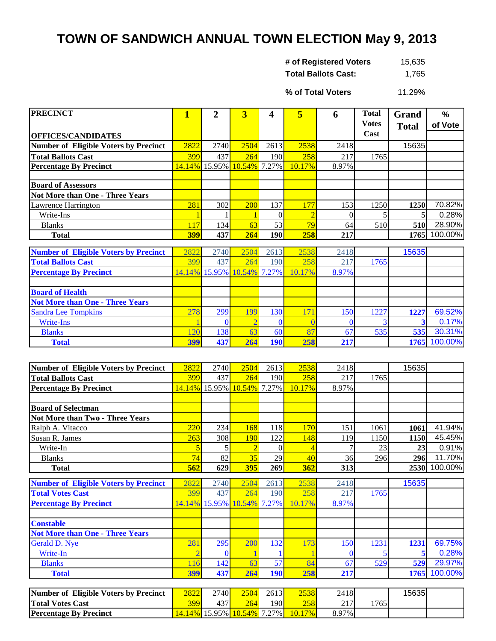## **TOWN OF SANDWICH ANNUAL TOWN ELECTION May 9, 2013**

| # of Registered Voters     | 15,635 |
|----------------------------|--------|
| <b>Total Ballots Cast:</b> | 1,765  |

11.29% **% of Total Voters**

| <b>PRECINCT</b>                              | 1          | 2                            | 3                          | 4          | 5      | 6     | <b>Total</b> | <b>Grand</b> | $\%$    |
|----------------------------------------------|------------|------------------------------|----------------------------|------------|--------|-------|--------------|--------------|---------|
|                                              |            |                              |                            |            |        |       | <b>Votes</b> | <b>Total</b> | of Vote |
| <b>OFFICES/CANDIDATES</b>                    |            |                              |                            |            |        |       | Cast         |              |         |
| <b>Number of Eligible Voters by Precinct</b> | 2822       | 2740                         | 2504                       | 2613       | 2538   | 2418  |              | 15635        |         |
| <b>Total Ballots Cast</b>                    | 399        | 437                          | 264                        | 190I       | 258    | 217   | 1765         |              |         |
| <b>Percentage By Precinct</b>                |            |                              | 14.14% 15.95% 10.54% 7.27% |            | 10.17% | 8.97% |              |              |         |
|                                              |            |                              |                            |            |        |       |              |              |         |
| <b>Board of Assessors</b>                    |            |                              |                            |            |        |       |              |              |         |
| Not More than One - Three Years              |            |                              |                            |            |        |       |              |              |         |
| Lawrence Harrington                          | 281        | 302                          | <b>200</b>                 | 137        | 177    | 153   | 1250         | 1250         | 70.82%  |
| Write-Ins                                    |            |                              |                            |            |        |       |              | 5            | 0.28%   |
| <b>Blanks</b>                                | 117        | 134                          | 63                         | 53         | 79     | 64    | 510          | 510          | 28.90%  |
| <b>Total</b>                                 | <b>399</b> | 437                          | 264                        | <b>190</b> | 258    | 217   |              | 1765         | 100.00% |
|                                              |            |                              |                            |            |        |       |              |              |         |
| <b>Number of Eligible Voters by Precinct</b> | 2822       | 2740                         | 2504                       | 2613       | 2538   | 2418  |              | 15635        |         |
| <b>Total Ballots Cast</b>                    | 399        | 437                          | 264                        | 190        | 258    | 217   | 1765         |              |         |
| <b>Percentage By Precinct</b>                |            | 14.14% 15.95% <mark> </mark> | 10.54%                     | 7.27%      | 10.17% | 8.97% |              |              |         |
|                                              |            |                              |                            |            |        |       |              |              |         |
|                                              |            |                              |                            |            |        |       |              |              |         |

| <b>Board of Health</b>                 |     |      |     |            |     |     |      |      |              |
|----------------------------------------|-----|------|-----|------------|-----|-----|------|------|--------------|
| <b>Not More than One - Three Years</b> |     |      |     |            |     |     |      |      |              |
| <b>Sandra Lee Tompkins</b>             | 278 | 299  | 99  | 130        | 71  | 150 | 1227 | 1227 | 69.52%       |
| Write-Ins                              |     |      |     |            |     |     |      |      | 0.17%        |
| <b>Blanks</b>                          | 120 | 1381 | οs  | 60         |     |     | 535  |      | 30.31%       |
| <b>Total</b>                           | 399 | 4371 | 264 | <b>190</b> | 258 | 217 |      |      | 1765 100.00% |

| Number of Eligible Voters by Precinct                                   | 2822        | 2740        | 2504                       | 2613        | 2538        | 2418        |      | 15635 |                           |
|-------------------------------------------------------------------------|-------------|-------------|----------------------------|-------------|-------------|-------------|------|-------|---------------------------|
| <b>Total Ballots Cast</b>                                               | 399         | 437         | 264                        | 190         | 258         | 217         | 1765 |       |                           |
| <b>Percentage By Precinct</b>                                           | 14.14%      |             | 15.95% 10.54% 7.27%        |             | 10.17%      | 8.97%       |      |       |                           |
|                                                                         |             |             |                            |             |             |             |      |       |                           |
| <b>Board of Selectman</b>                                               |             |             |                            |             |             |             |      |       |                           |
| <b>Not More than Two - Three Years</b>                                  |             |             |                            |             |             |             |      |       |                           |
| Ralph A. Vitacco                                                        | 220         | 234         | 168                        | 118         | 170         | 151         | 1061 | 1061  | 41.94%                    |
| Susan R. James                                                          | 263         | 308         | <b>190</b>                 | 122         | 148         | 119         | 1150 | 1150  | 45.45%                    |
| Write-In                                                                |             |             |                            | 0           |             |             | 23   | 23    | 0.91%                     |
| <b>Blanks</b>                                                           | 74          | 82          | 35                         | 29          | 40          | 36          | 296  | 296   | 11.70%                    |
| <b>Total</b>                                                            | 562         | 629         | <b>395</b>                 | 269         | 362         | 313         |      | 2530  | 100.00%                   |
|                                                                         |             |             |                            |             |             |             |      |       |                           |
|                                                                         |             |             |                            |             |             |             |      |       |                           |
| <b>Number of Eligible Voters by Precinct</b><br><b>Total Votes Cast</b> | 2822<br>399 | 2740<br>437 | 2504<br>264                | 2613<br>190 | 2538<br>258 | 2418<br>217 | 1765 | 15635 |                           |
| <b>Percentage By Precinct</b>                                           |             |             | 14.14% 15.95% 10.54% 7.27% |             | 10.17%      | 8.97%       |      |       |                           |
|                                                                         |             |             |                            |             |             |             |      |       |                           |
| <b>Constable</b>                                                        |             |             |                            |             |             |             |      |       |                           |
| <b>Not More than One - Three Years</b>                                  |             |             |                            |             |             |             |      |       |                           |
| Gerald D. Nye                                                           | 281         | 295         | 200                        | 132         | 173         | 150         | 1231 | 1231  |                           |
| Write-In                                                                |             | $\Omega$    |                            |             |             | $\Omega$    |      |       |                           |
| <b>Blanks</b>                                                           | 116         | 142         | 63                         | 57          | 84          | 67          | 529  | 529   | 69.75%<br>0.28%<br>29.97% |
| <b>Total</b>                                                            | 399         | 437         | 264                        | <b>190</b>  | 258         | 217         |      | 1765  | 100.00%                   |
|                                                                         |             |             | 2504                       |             | 2520        |             |      | 15625 |                           |

| Number of Eligible Voters by Precinct | 2822 | 2740I | 2504                                       | 2613 | 2538   | 2418     |      | 15635 |  |
|---------------------------------------|------|-------|--------------------------------------------|------|--------|----------|------|-------|--|
| <b>Total Votes Cast</b>               | 399  | 4371  | 264                                        | 190I | 258    | n 1 7 I  | 1765 |       |  |
| <b>Percentage By Precinct</b>         |      |       | <u>14.14%   15.95%   10.54%   7.27%   </u> |      | 10.17% | $8.97\%$ |      |       |  |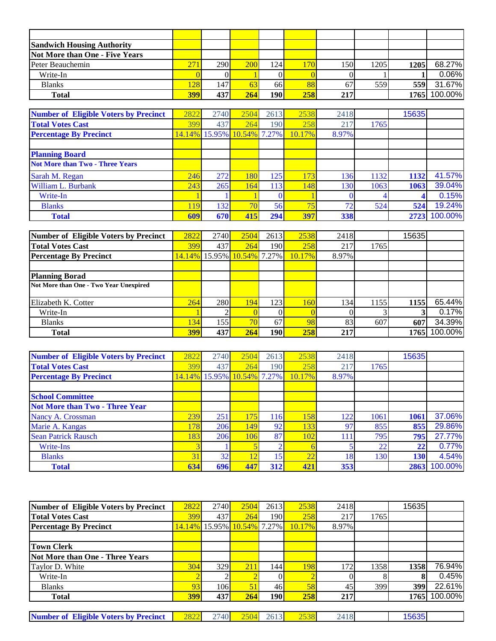| <b>Sandwich Housing Authority</b> |     |      |            |                  |     |     |      |      |              |
|-----------------------------------|-----|------|------------|------------------|-----|-----|------|------|--------------|
| Not More than One - Five Years    |     |      |            |                  |     |     |      |      |              |
| Peter Beauchemin                  | 271 | 290  | <b>200</b> | 124              | 170 | 150 | 1205 | 1205 | 68.27%       |
| Write-In                          |     |      |            |                  |     |     |      |      | 0.06%        |
| <b>Blanks</b>                     | 128 | 1471 | 63         | 66I              | 88  | 67  | 559  | 559  | 31.67%       |
| <b>Total</b>                      | 399 | 437  | 264        | 190 <sub>h</sub> | 258 | 217 |      |      | 1765 100.00% |

| <b>Number of Eligible Voters by Precinct</b> | 2822 | 2740                       | 2504 | 2613 | 2538   | 2418  |      | 15635 |         |
|----------------------------------------------|------|----------------------------|------|------|--------|-------|------|-------|---------|
| <b>Total Votes Cast</b>                      | 399  | 437                        | 264  | 190  | 258    | 217   | 1765 |       |         |
| <b>Percentage By Precinct</b>                |      | 14.14% 15.95% 10.54% 7.27% |      |      | 10.17% | 8.97% |      |       |         |
|                                              |      |                            |      |      |        |       |      |       |         |
| <b>Planning Board</b>                        |      |                            |      |      |        |       |      |       |         |
| <b>Not More than Two - Three Years</b>       |      |                            |      |      |        |       |      |       |         |
| Sarah M. Regan                               | 246  | 272                        | 180  | 125  | 173    | 136   | 1132 | 1132  | 41.57%  |
| William L. Burbank                           | 243  | 265                        | 164  | 113  | 148    | 130   | 1063 | 1063  | 39.04%  |
| Write-In                                     |      |                            |      |      |        |       |      |       | 0.15%   |
| <b>Blanks</b>                                | 119  | 132                        | 70   | 56   | 75     | 72    | 524  | 524   | 19.24%  |
| <b>Total</b>                                 | 609  | 670                        | 415  | 294  | 397    | 338   |      | 2723  | 100.00% |

| Number of Eligible Voters by Precinct  | 2822       | 2740 | 2504                | 2613 | 2538             | 2418  |      | 15635 |         |
|----------------------------------------|------------|------|---------------------|------|------------------|-------|------|-------|---------|
| <b>Total Votes Cast</b>                | 399        | 437  | 264                 | 190  | 258              | 217   | 1765 |       |         |
| <b>Percentage By Precinct</b>          | 14.14%     |      | 15.95% 10.54% 7.27% |      | 10.17%           | 8.97% |      |       |         |
|                                        |            |      |                     |      |                  |       |      |       |         |
| <b>Planning Borad</b>                  |            |      |                     |      |                  |       |      |       |         |
| Not More than One - Two Year Unexpired |            |      |                     |      |                  |       |      |       |         |
|                                        |            |      |                     |      |                  |       |      |       |         |
| Elizabeth K. Cotter                    | 264        | 280  | 194                 | 123  | 160 <sub>l</sub> | 134   | 1155 | 1155  | 65.44%  |
| Write-In                               |            |      |                     |      |                  |       |      |       | 0.17%   |
| <b>Blanks</b>                          | 134        | 1551 | 70 <sub>l</sub>     | 67   | 98               | 83    | 607  | 607   | 34.39%  |
| <b>Total</b>                           | <b>399</b> | 437  | 264                 | 190  | 258              | 217   |      | 17651 | 100.00% |

| <b>Number of Eligible Voters by Precinct</b> | 2822 | 2740                       | 2504             | 2613                    | 2538   | 2418  |      | 15635             |              |
|----------------------------------------------|------|----------------------------|------------------|-------------------------|--------|-------|------|-------------------|--------------|
| <b>Total Votes Cast</b>                      | 399  | 437                        | 264              | 190                     | 258    | 217   | 1765 |                   |              |
| <b>Percentage By Precinct</b>                |      | 14.14% 15.95% 10.54% 7.27% |                  |                         | 10.17% | 8.97% |      |                   |              |
|                                              |      |                            |                  |                         |        |       |      |                   |              |
| <b>School Committee</b>                      |      |                            |                  |                         |        |       |      |                   |              |
| <b>Not More than Two - Three Year</b>        |      |                            |                  |                         |        |       |      |                   |              |
| Nancy A. Crossman                            | 239  | 251                        | 175              | 116                     | 158    | 122   | 1061 | 1061              | 37.06%       |
| Marie A. Kangas                              | 178  | 206                        | 149 <sub>1</sub> | 92                      | 133    | 97    | 855  | 855               | 29.86%       |
| <b>Sean Patrick Rausch</b>                   | 183  | 206                        | 106              | 87                      | 102    | 111   | 795  | 795               | 27.77%       |
| Write-Ins                                    |      |                            |                  |                         |        |       | 22   | $22 \overline{)}$ | 0.77%        |
| <b>Blanks</b>                                | 31   | 32 <sub>1</sub>            |                  | $\overline{\mathbf{5}}$ | 22     | 18    | 130  | <b>130</b>        | 4.54%        |
| <b>Total</b>                                 | 634  | 696                        | 447              | 312                     | 421    | 353   |      |                   | 2863 100.00% |

| Number of Eligible Voters by Precinct        | 2822 | 2740 | 2504                                                                      | 2613 | 2538       | 2418  |      | 15635 |         |
|----------------------------------------------|------|------|---------------------------------------------------------------------------|------|------------|-------|------|-------|---------|
| <b>Total Votes Cast</b>                      | 399  | 437  | 264                                                                       | 190  | 258        | 217   | 1765 |       |         |
| <b>Percentage By Precinct</b>                |      |      | <mark>14.14%  </mark> 15.95% <mark>  10.54%  </mark> 7.27% <mark> </mark> |      | $10.17\%$  | 8.97% |      |       |         |
|                                              |      |      |                                                                           |      |            |       |      |       |         |
| <b>Town Clerk</b>                            |      |      |                                                                           |      |            |       |      |       |         |
| <b>Not More than One - Three Years</b>       |      |      |                                                                           |      |            |       |      |       |         |
| Taylor D. White                              | 304  | 329  | 211                                                                       | 144  | <b>198</b> | 172   | 1358 | 1358  | 76.94%  |
| Write-In                                     |      |      |                                                                           |      |            |       |      |       | 0.45%   |
| <b>Blanks</b>                                | 93   | 106I | 51                                                                        | 46   | 58         | 45    | 399  | 399   | 22.61%  |
| <b>Total</b>                                 | 399  | 437  | 264                                                                       | 190  | 258        | 217   |      | 1765  | 100.00% |
|                                              |      |      |                                                                           |      |            |       |      |       |         |
| <b>Number of Eligible Voters by Precinct</b> | 2822 | 2740 | 2504                                                                      | 2613 | 2538       | 2418  |      | 15635 |         |